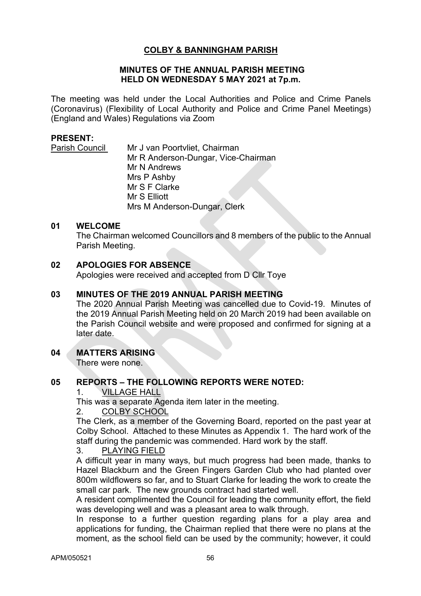# **COLBY & BANNINGHAM PARISH**

#### **MINUTES OF THE ANNUAL PARISH MEETING HELD ON WEDNESDAY 5 MAY 2021 at 7p.m.**

The meeting was held under the Local Authorities and Police and Crime Panels (Coronavirus) (Flexibility of Local Authority and Police and Crime Panel Meetings) (England and Wales) Regulations via Zoom

### **PRESENT:**

Parish Council Mr J van Poortvliet, Chairman Mr R Anderson-Dungar, Vice-Chairman Mr N Andrews Mrs P Ashby Mr S F Clarke Mr S Elliott Mrs M Anderson-Dungar, Clerk

### **01 WELCOME**

The Chairman welcomed Councillors and 8 members of the public to the Annual Parish Meeting.

## **02 APOLOGIES FOR ABSENCE**

Apologies were received and accepted from D Cllr Toye

### **03 MINUTES OF THE 2019 ANNUAL PARISH MEETING**

The 2020 Annual Parish Meeting was cancelled due to Covid-19. Minutes of the 2019 Annual Parish Meeting held on 20 March 2019 had been available on the Parish Council website and were proposed and confirmed for signing at a later date.

# **04 MATTERS ARISING**

There were none.

## **05 REPORTS – THE FOLLOWING REPORTS WERE NOTED:**

### 1. VILLAGE HALL

This was a separate Agenda item later in the meeting.

#### 2. COLBY SCHOOL

The Clerk, as a member of the Governing Board, reported on the past year at Colby School. Attached to these Minutes as Appendix 1. The hard work of the staff during the pandemic was commended. Hard work by the staff.

#### 3. PLAYING FIELD

A difficult year in many ways, but much progress had been made, thanks to Hazel Blackburn and the Green Fingers Garden Club who had planted over 800m wildflowers so far, and to Stuart Clarke for leading the work to create the small car park. The new grounds contract had started well.

A resident complimented the Council for leading the community effort, the field was developing well and was a pleasant area to walk through.

In response to a further question regarding plans for a play area and applications for funding, the Chairman replied that there were no plans at the moment, as the school field can be used by the community; however, it could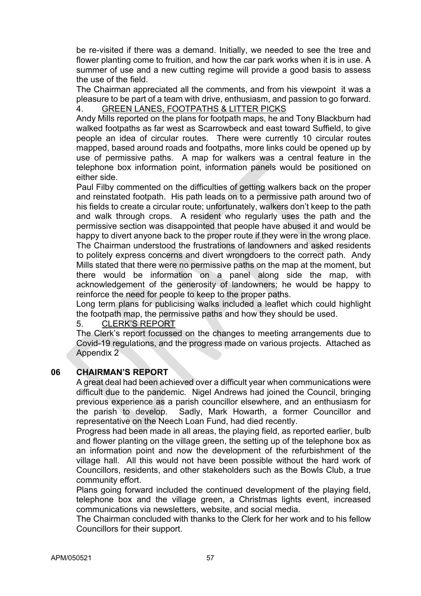be re-visited if there was a demand. Initially, we needed to see the tree and flower planting come to fruition, and how the car park works when it is in use. A summer of use and a new cutting regime will provide a good basis to assess the use of the field.

The Chairman appreciated all the comments, and from his viewpoint it was a pleasure to be part of a team with drive, enthusiasm, and passion to go forward. 4. GREEN LANES, FOOTPATHS & LITTER PICKS

Andy Mills reported on the plans for footpath maps, he and Tony Blackburn had walked footpaths as far west as Scarrowbeck and east toward Suffield, to give people an idea of circular routes. There were currently 10 circular routes mapped, based around roads and footpaths, more links could be opened up by use of permissive paths. A map for walkers was a central feature in the telephone box information point, information panels would be positioned on either side.

Paul Filby commented on the difficulties of getting walkers back on the proper and reinstated footpath. His path leads on to a permissive path around two of his fields to create a circular route; unfortunately, walkers don't keep to the path and walk through crops. A resident who regularly uses the path and the permissive section was disappointed that people have abused it and would be happy to divert anyone back to the proper route if they were in the wrong place. The Chairman understood the frustrations of landowners and asked residents to politely express concerns and divert wrongdoers to the correct path. Andy Mills stated that there were no permissive paths on the map at the moment, but there would be information on a panel along side the map, with acknowledgement of the generosity of landowners; he would be happy to reinforce the need for people to keep to the proper paths.

Long term plans for publicising walks included a leaflet which could highlight the footpath map, the permissive paths and how they should be used.

## 5. CLERK'S REPORT

The Clerk's report focussed on the changes to meeting arrangements due to Covid-19 regulations, and the progress made on various projects. Attached as Appendix 2

## **06 CHAIRMAN'S REPORT**

A great deal had been achieved over a difficult year when communications were difficult due to the pandemic. Nigel Andrews had joined the Council, bringing previous experience as a parish councillor elsewhere, and an enthusiasm for the parish to develop. Sadly, Mark Howarth, a former Councillor and representative on the Neech Loan Fund, had died recently.

Progress had been made in all areas, the playing field, as reported earlier, bulb and flower planting on the village green, the setting up of the telephone box as an information point and now the development of the refurbishment of the village hall. All this would not have been possible without the hard work of Councillors, residents, and other stakeholders such as the Bowls Club, a true community effort.

Plans going forward included the continued development of the playing field, telephone box and the village green, a Christmas lights event, increased communications via newsletters, website, and social media.

The Chairman concluded with thanks to the Clerk for her work and to his fellow Councillors for their support.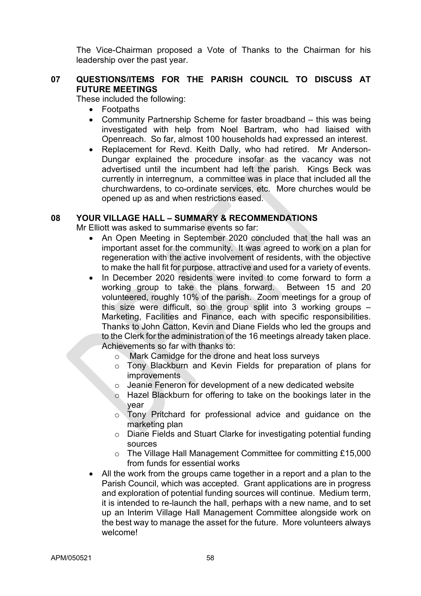The Vice-Chairman proposed a Vote of Thanks to the Chairman for his leadership over the past year.

# **07 QUESTIONS/ITEMS FOR THE PARISH COUNCIL TO DISCUSS AT FUTURE MEETINGS**

These included the following:

- Footpaths
- Community Partnership Scheme for faster broadband this was being investigated with help from Noel Bartram, who had liaised with Openreach. So far, almost 100 households had expressed an interest.
- Replacement for Revd. Keith Dally, who had retired. Mr Anderson-Dungar explained the procedure insofar as the vacancy was not advertised until the incumbent had left the parish. Kings Beck was currently in interregnum, a committee was in place that included all the churchwardens, to co-ordinate services, etc. More churches would be opened up as and when restrictions eased.

### **08 YOUR VILLAGE HALL – SUMMARY & RECOMMENDATIONS**

Mr Elliott was asked to summarise events so far:

- An Open Meeting in September 2020 concluded that the hall was an important asset for the community. It was agreed to work on a plan for regeneration with the active involvement of residents, with the objective to make the hall fit for purpose, attractive and used for a variety of events.
- In December 2020 residents were invited to come forward to form a working group to take the plans forward. Between 15 and 20 volunteered, roughly 10% of the parish. Zoom meetings for a group of this size were difficult, so the group split into 3 working groups – Marketing, Facilities and Finance, each with specific responsibilities. Thanks to John Catton, Kevin and Diane Fields who led the groups and to the Clerk for the administration of the 16 meetings already taken place. Achievements so far with thanks to:
	- o Mark Camidge for the drone and heat loss surveys
	- o Tony Blackburn and Kevin Fields for preparation of plans for improvements
	- $\circ$  Jeanie Feneron for development of a new dedicated website
	- o Hazel Blackburn for offering to take on the bookings later in the year
	- o Tony Pritchard for professional advice and guidance on the marketing plan
	- o Diane Fields and Stuart Clarke for investigating potential funding sources
	- o The Village Hall Management Committee for committing £15,000 from funds for essential works
- All the work from the groups came together in a report and a plan to the Parish Council, which was accepted. Grant applications are in progress and exploration of potential funding sources will continue. Medium term, it is intended to re-launch the hall, perhaps with a new name, and to set up an Interim Village Hall Management Committee alongside work on the best way to manage the asset for the future. More volunteers always welcome!